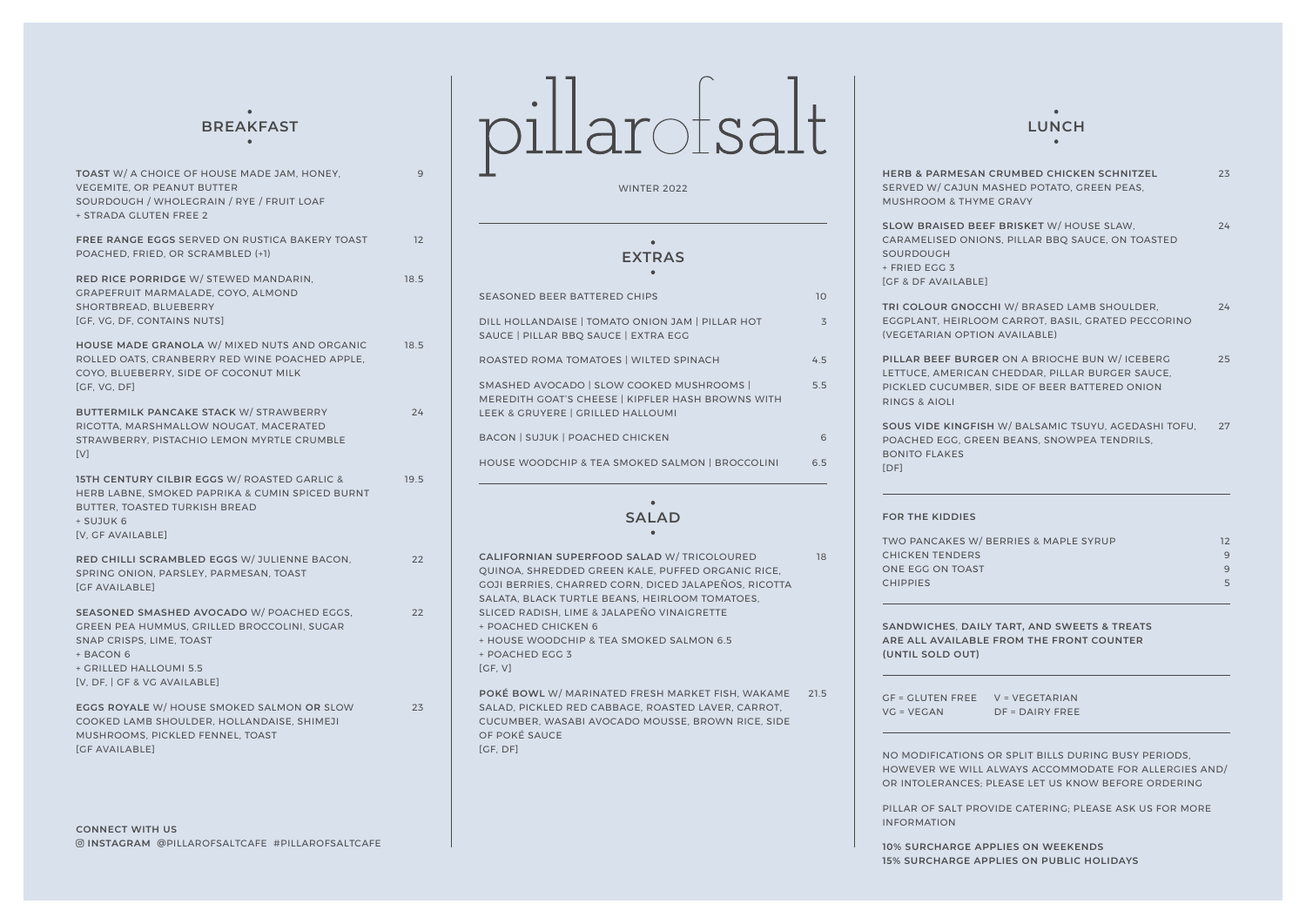## $\sim$

| <b>TOAST W/ A CHOICE OF HOUSE MADE JAM. HONEY.</b><br><b>VEGEMITE, OR PEANUT BUTTER</b><br>SOURDOUGH / WHOLEGRAIN / RYE / FRUIT LOAF<br>+ STRADA GLUTEN FREE 2                              | 9    |
|---------------------------------------------------------------------------------------------------------------------------------------------------------------------------------------------|------|
| FREE RANGE EGGS SERVED ON RUSTICA BAKERY TOAST<br>POACHED, FRIED, OR SCRAMBLED (+1)                                                                                                         | 12   |
| RED RICE PORRIDGE W/ STEWED MANDARIN,<br>GRAPEFRUIT MARMALADE, COYO, ALMOND<br>SHORTBREAD, BLUEBERRY<br>[GF, VG, DF, CONTAINS NUTS]                                                         | 18.5 |
| HOUSE MADE GRANOLA W/ MIXED NUTS AND ORGANIC<br>ROLLED OATS, CRANBERRY RED WINE POACHED APPLE,<br>COYO, BLUEBERRY, SIDE OF COCONUT MILK<br>[GF, VG, DF]                                     | 18.5 |
| <b>BUTTERMILK PANCAKE STACK W/ STRAWBERRY</b><br>RICOTTA, MARSHMALLOW NOUGAT, MACERATED<br>STRAWBERRY, PISTACHIO LEMON MYRTLE CRUMBLE<br>[V]                                                | 24   |
| <b>15TH CENTURY CILBIR EGGS W/ ROASTED GARLIC &amp;</b><br>HERB LABNE, SMOKED PAPRIKA & CUMIN SPICED BURNT<br>BUTTER, TOASTED TURKISH BREAD<br>+ SUJUK 6<br>[V, GF AVAILABLE]               | 19.5 |
| RED CHILLI SCRAMBLED EGGS W/ JULIENNE BACON,<br>SPRING ONION, PARSLEY, PARMESAN, TOAST<br><b><i>SCE AVAILABLEI</i></b>                                                                      | 22   |
| SEASONED SMASHED AVOCADO W/ POACHED EGGS,<br>GREEN PEA HUMMUS, GRILLED BROCCOLINI, SUGAR<br>SNAP CRISPS, LIME, TOAST<br>+ BACON 6<br>+ GRILLED HALLOUMI 5.5<br>[V, DF,   GF & VG AVAILABLE] | 22   |
| EGGS ROYALE W/ HOUSE SMOKED SALMON OR SLOW<br>COOKED LAMB SHOULDER, HOLLANDAISE, SHIMEJI<br>MUSHROOMS, PICKLED FENNEL, TOAST<br><b>IGF AVAILABLEI</b>                                       | 23   |

## BREAKFAST **pillar**  $\int$  **LUNCH**

WINTER 2022

#### $\bullet$ **EXTRAS**

| <b>SALAD</b><br>CALIFORNIAN SUPERFOOD SALAD W/ TRICOLOURED                                                                          | 18  |
|-------------------------------------------------------------------------------------------------------------------------------------|-----|
| HOUSE WOODCHIP & TEA SMOKED SALMON   BROCCOLINI                                                                                     | 6.5 |
| <b>BACON   SUJUK   POACHED CHICKEN</b>                                                                                              | 6   |
| SMASHED AVOCADO   SLOW COOKED MUSHROOMS  <br>MEREDITH GOAT'S CHEESE   KIPFLER HASH BROWNS WITH<br>LEEK & GRUYERE   GRILLED HALLOUMI | 5.5 |
| ROASTED ROMA TOMATOES   WILTED SPINACH                                                                                              | 45  |
| DILL HOLLANDAISE   TOMATO ONION JAM   PILLAR HOT<br>SAUCE   PILLAR BBO SAUCE   EXTRA EGG                                            | 3   |
| SEASONED BEER BATTERED CHIPS                                                                                                        | 10  |

21.5 **POKÉ BOWL** W/ MARINATED FRESH MARKET FISH, WAKAME **CALIFORNIAN SUPERFOOD SALAD** W/ TRICOLOURED QUINOA, SHREDDED GREEN KALE, PUFFED ORGANIC RICE, GOJI BERRIES, CHARRED CORN, DICED JALAPEÑOS, RICOTTA SALATA, BLACK TURTLE BEANS, HEIRLOOM TOMATOES, SLICED RADISH, LIME & JALAPEÑO VINAIGRETTE + POACHED CHICKEN 6 + HOUSE WOODCHIP & TEA SMOKED SALMON 6.5 + POACHED EGG 3 [GF, V] SALAD, PICKLED RED CABBAGE, ROASTED LAVER, CARROT, CUCUMBER, WASABI AVOCADO MOUSSE, BROWN RICE, SIDE

OF POKÉ SAUCE [GF, DF]

### $\sim$

| <b>HERB &amp; PARMESAN CRUMBED CHICKEN SCHNITZEL</b><br>SERVED W/ CAJUN MASHED POTATO, GREEN PEAS.<br><b>MUSHROOM &amp; THYME GRAVY</b>                            | 23 |
|--------------------------------------------------------------------------------------------------------------------------------------------------------------------|----|
| SLOW BRAISED BEEF BRISKET W/ HOUSE SLAW,                                                                                                                           | 24 |
| CARAMELISED ONIONS, PILLAR BBQ SAUCE, ON TOASTED<br>SOURDOUGH                                                                                                      |    |
| + FRIED EGG 3<br><b>IGF &amp; DF AVAILABLEI</b>                                                                                                                    |    |
|                                                                                                                                                                    |    |
| TRI COLOUR GNOCCHI W/ BRASED LAMB SHOULDER,<br>EGGPLANT, HEIRLOOM CARROT, BASIL, GRATED PECCORINO<br>(VEGETARIAN OPTION AVAILABLE)                                 | 24 |
| PILLAR BEEF BURGER ON A BRIOCHE BUN W/ICEBERG<br>LETTUCE, AMERICAN CHEDDAR, PILLAR BURGER SAUCE,<br>PICKLED CUCUMBER, SIDE OF BEER BATTERED ONION<br>RINGS & AIOLI | 25 |
| SOUS VIDE KINGFISH W/ BALSAMIC TSUYU, AGEDASHI TOFU,<br>POACHED EGG, GREEN BEANS, SNOWPEA TENDRILS,<br><b>BONITO FLAKES</b><br>[DF]                                | 27 |

#### **FOR THE KIDDIES**

| TWO PANCAKES W/BERRIES & MAPLE SYRUP |         |
|--------------------------------------|---------|
| CHICKEN TENDERS                      | q       |
| ONE EGG ON TOAST                     | $\circ$ |
| <b>CHIPPIES</b>                      | 5       |
|                                      |         |

**SANDWICHES**, **DAILY TART, AND SWEETS & TREATS ARE ALL AVAILABLE FROM THE FRONT COUNTER (UNTIL SOLD OUT)** 

GF = GLUTEN FREE V = VEGETARIAN VG = VEGAN DF = DAIRY FREE

NO MODIFICATIONS OR SPLIT BILLS DURING BUSY PERIODS, HOWEVER WE WILL ALWAYS ACCOMMODATE FOR ALLERGIES AND/ OR INTOLERANCES; PLEASE LET US KNOW BEFORE ORDERING

PILLAR OF SALT PROVIDE CATERING; PLEASE ASK US FOR MORE INFORMATION

**10% SURCHARGE APPLIES ON WEEKENDS 15% SURCHARGE APPLIES ON PUBLIC HOLIDAYS**